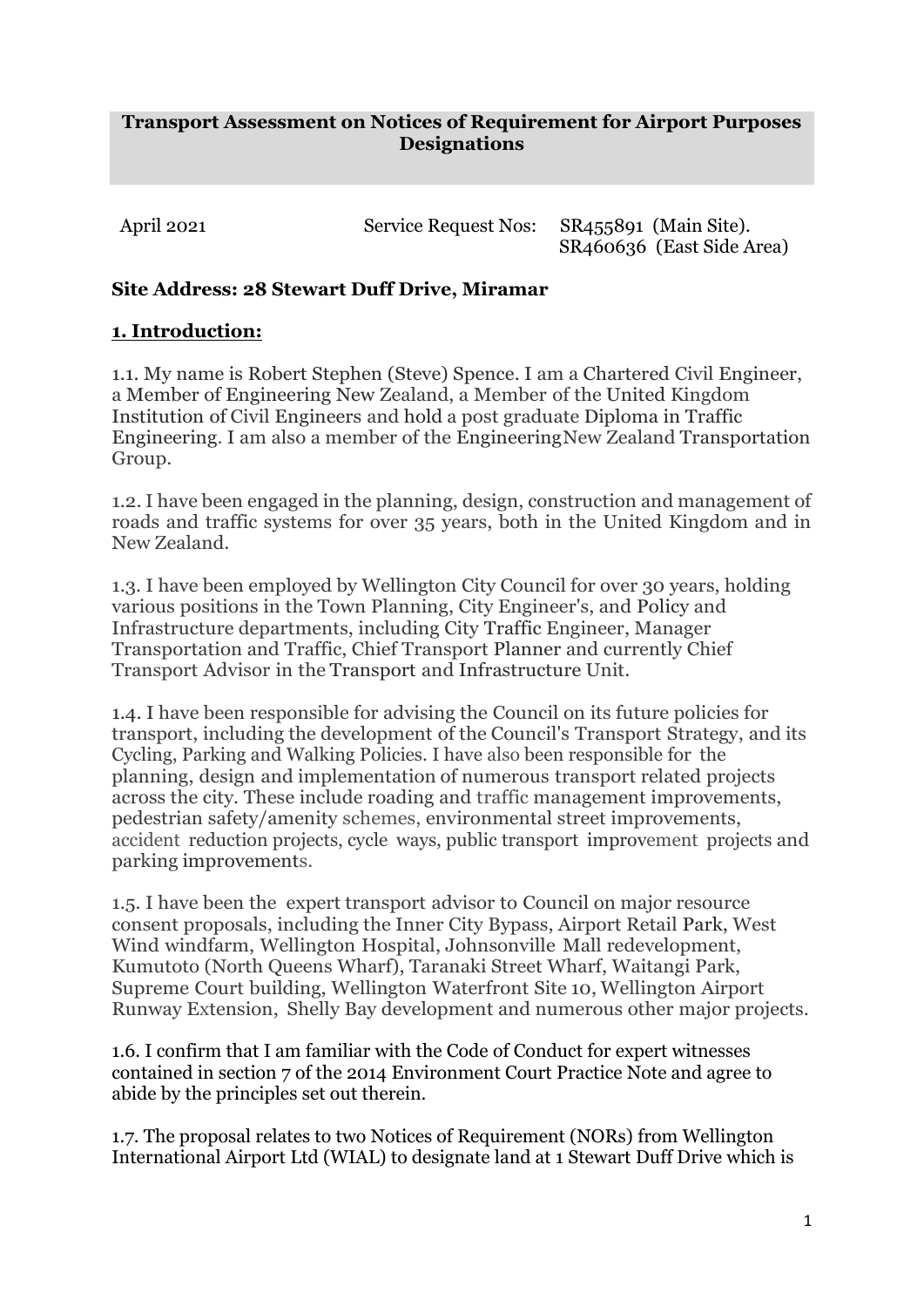#### **Transport Assessment on Notices of Requirement for Airport Purposes Designations**

April 2021 Service Request Nos: SR455891 (Main Site). SR460636 (East Side Area)

## **Site Address: 28 Stewart Duff Drive, Miramar**

## **1. Introduction:**

1.1. My name is Robert Stephen (Steve) Spence. I am a Chartered Civil Engineer, a Member of Engineering New Zealand, a Member of the United Kingdom Institution of Civil Engineers and hold a post graduate Diploma in Traffic Engineering. I am also a member of the EngineeringNew Zealand Transportation Group.

1.2. I have been engaged in the planning, design, construction and management of roads and traffic systems for over 35 years, both in the United Kingdom and in New Zealand.

1.3. I have been employed by Wellington City Council for over 30 years, holding various positions in the Town Planning, City Engineer's, and Policy and Infrastructure departments, including City Traffic Engineer, Manager Transportation and Traffic, Chief Transport Planner and currently Chief Transport Advisor in the Transport and Infrastructure Unit.

1.4. I have been responsible for advising the Council on its future policies for transport, including the development of the Council's Transport Strategy, and its Cycling, Parking and Walking Policies. I have also been responsible for the planning, design and implementation of numerous transport related projects across the city. These include roading and traffic management improvements, pedestrian safety/amenity schemes, environmental street improvements, accident reduction projects, cycle ways, public transport improvement projects and parking improvements.

1.5. I have been the expert transport advisor to Council on major resource consent proposals, including the Inner City Bypass, Airport Retail Park, West Wind windfarm, Wellington Hospital, Johnsonville Mall redevelopment, Kumutoto (North Queens Wharf), Taranaki Street Wharf, Waitangi Park, Supreme Court building, Wellington Waterfront Site 10, Wellington Airport Runway Extension, Shelly Bay development and numerous other major projects.

1.6. I confirm that I am familiar with the Code of Conduct for expert witnesses contained in section 7 of the 2014 Environment Court Practice Note and agree to abide by the principles set out therein.

1.7. The proposal relates to two Notices of Requirement (NORs) from Wellington International Airport Ltd (WIAL) to designate land at 1 Stewart Duff Drive which is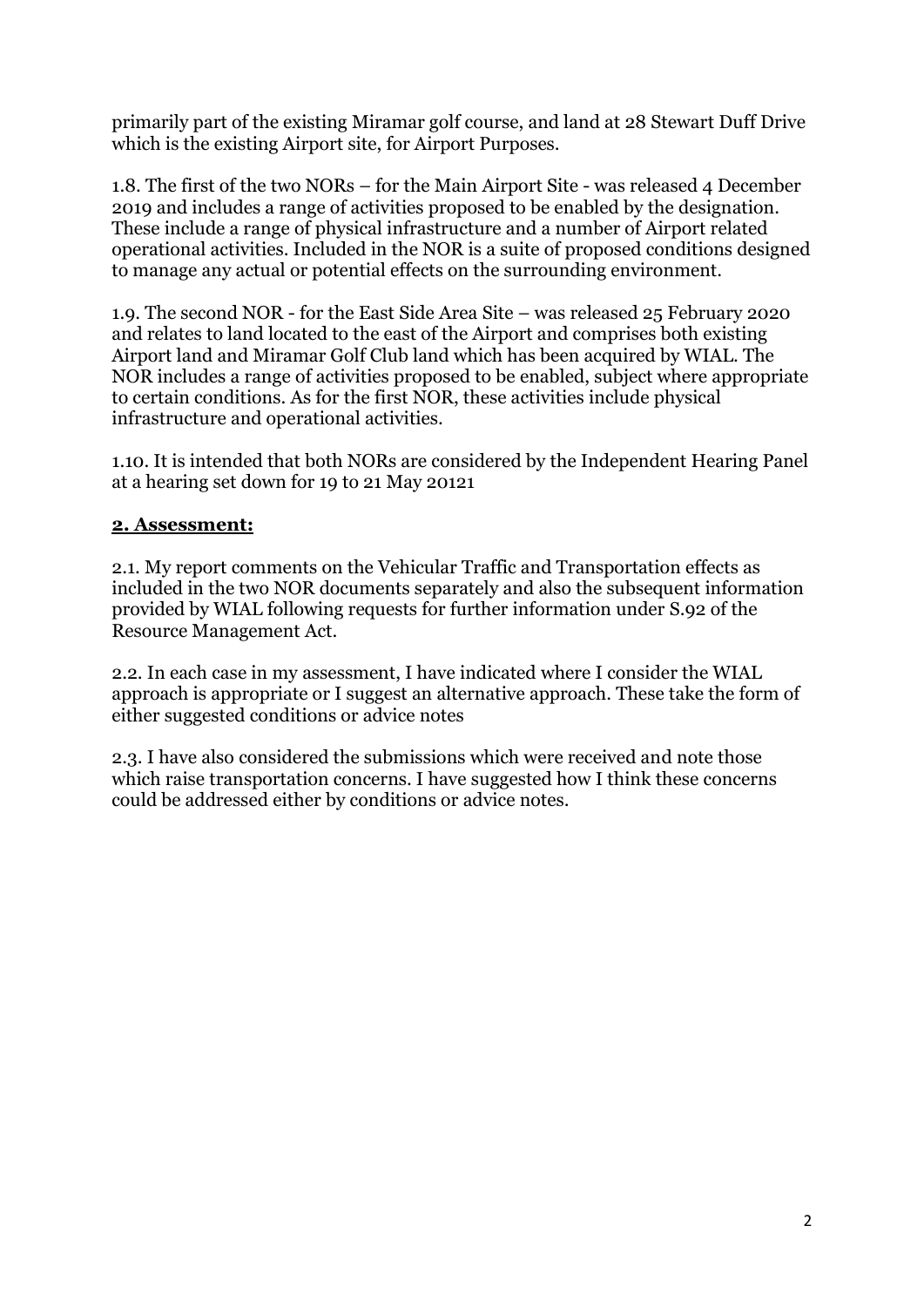primarily part of the existing Miramar golf course, and land at 28 Stewart Duff Drive which is the existing Airport site, for Airport Purposes.

1.8. The first of the two NORs – for the Main Airport Site - was released 4 December 2019 and includes a range of activities proposed to be enabled by the designation. These include a range of physical infrastructure and a number of Airport related operational activities. Included in the NOR is a suite of proposed conditions designed to manage any actual or potential effects on the surrounding environment.

1.9. The second NOR - for the East Side Area Site – was released 25 February 2020 and relates to land located to the east of the Airport and comprises both existing Airport land and Miramar Golf Club land which has been acquired by WIAL. The NOR includes a range of activities proposed to be enabled, subject where appropriate to certain conditions. As for the first NOR, these activities include physical infrastructure and operational activities.

1.10. It is intended that both NORs are considered by the Independent Hearing Panel at a hearing set down for 19 to 21 May 20121

### **2. Assessment:**

2.1. My report comments on the Vehicular Traffic and Transportation effects as included in the two NOR documents separately and also the subsequent information provided by WIAL following requests for further information under S.92 of the Resource Management Act.

2.2. In each case in my assessment, I have indicated where I consider the WIAL approach is appropriate or I suggest an alternative approach. These take the form of either suggested conditions or advice notes

2.3. I have also considered the submissions which were received and note those which raise transportation concerns. I have suggested how I think these concerns could be addressed either by conditions or advice notes.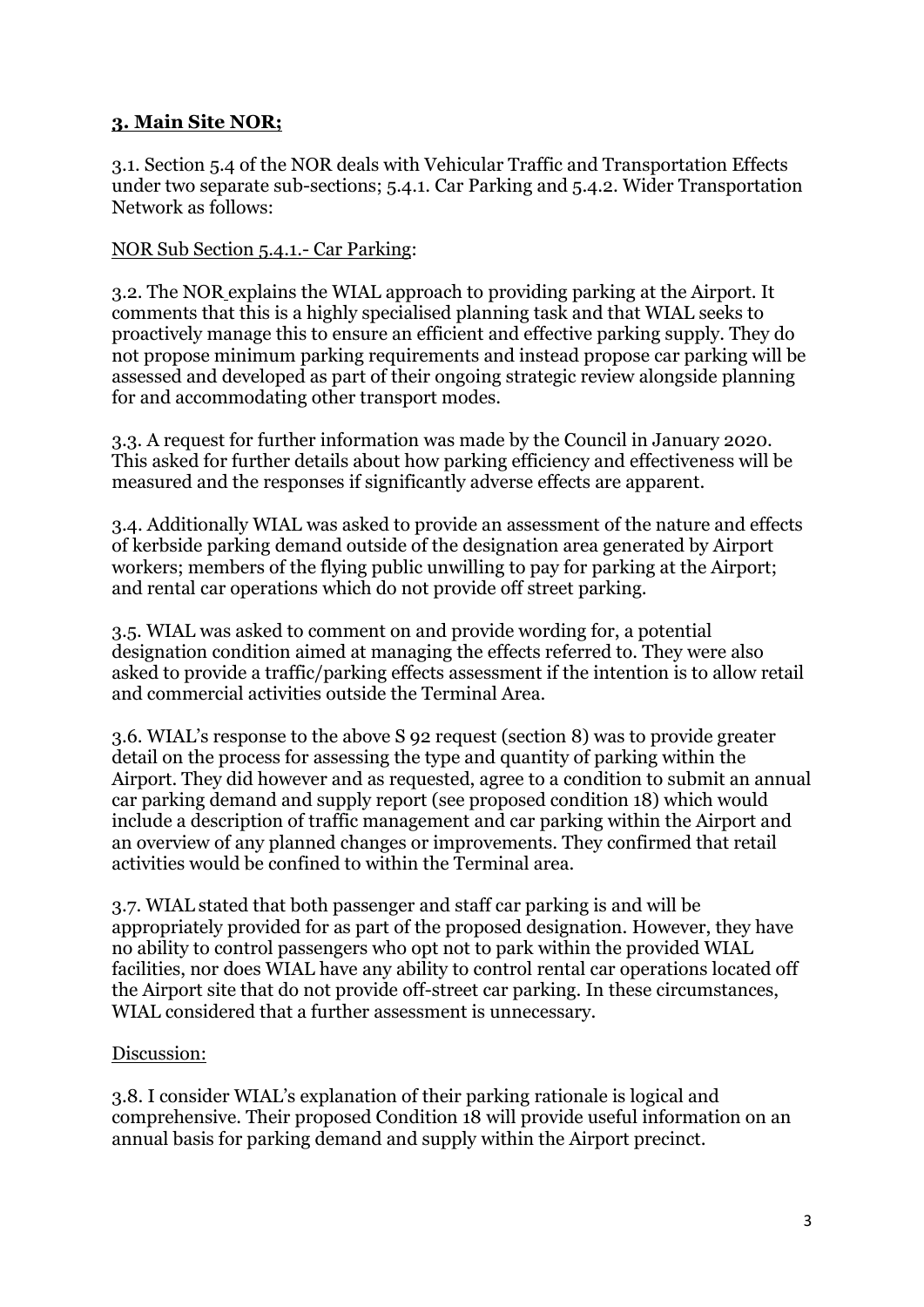## **3. Main Site NOR;**

3.1. Section 5.4 of the NOR deals with Vehicular Traffic and Transportation Effects under two separate sub-sections; 5.4.1. Car Parking and 5.4.2. Wider Transportation Network as follows:

### NOR Sub Section 5.4.1.- Car Parking:

3.2. The NOR explains the WIAL approach to providing parking at the Airport. It comments that this is a highly specialised planning task and that WIAL seeks to proactively manage this to ensure an efficient and effective parking supply. They do not propose minimum parking requirements and instead propose car parking will be assessed and developed as part of their ongoing strategic review alongside planning for and accommodating other transport modes.

3.3. A request for further information was made by the Council in January 2020. This asked for further details about how parking efficiency and effectiveness will be measured and the responses if significantly adverse effects are apparent.

3.4. Additionally WIAL was asked to provide an assessment of the nature and effects of kerbside parking demand outside of the designation area generated by Airport workers; members of the flying public unwilling to pay for parking at the Airport; and rental car operations which do not provide off street parking.

3.5. WIAL was asked to comment on and provide wording for, a potential designation condition aimed at managing the effects referred to. They were also asked to provide a traffic/parking effects assessment if the intention is to allow retail and commercial activities outside the Terminal Area.

3.6. WIAL's response to the above S 92 request (section 8) was to provide greater detail on the process for assessing the type and quantity of parking within the Airport. They did however and as requested, agree to a condition to submit an annual car parking demand and supply report (see proposed condition 18) which would include a description of traffic management and car parking within the Airport and an overview of any planned changes or improvements. They confirmed that retail activities would be confined to within the Terminal area.

3.7. WIAL stated that both passenger and staff car parking is and will be appropriately provided for as part of the proposed designation. However, they have no ability to control passengers who opt not to park within the provided WIAL facilities, nor does WIAL have any ability to control rental car operations located off the Airport site that do not provide off-street car parking. In these circumstances, WIAL considered that a further assessment is unnecessary.

### Discussion:

3.8. I consider WIAL's explanation of their parking rationale is logical and comprehensive. Their proposed Condition 18 will provide useful information on an annual basis for parking demand and supply within the Airport precinct.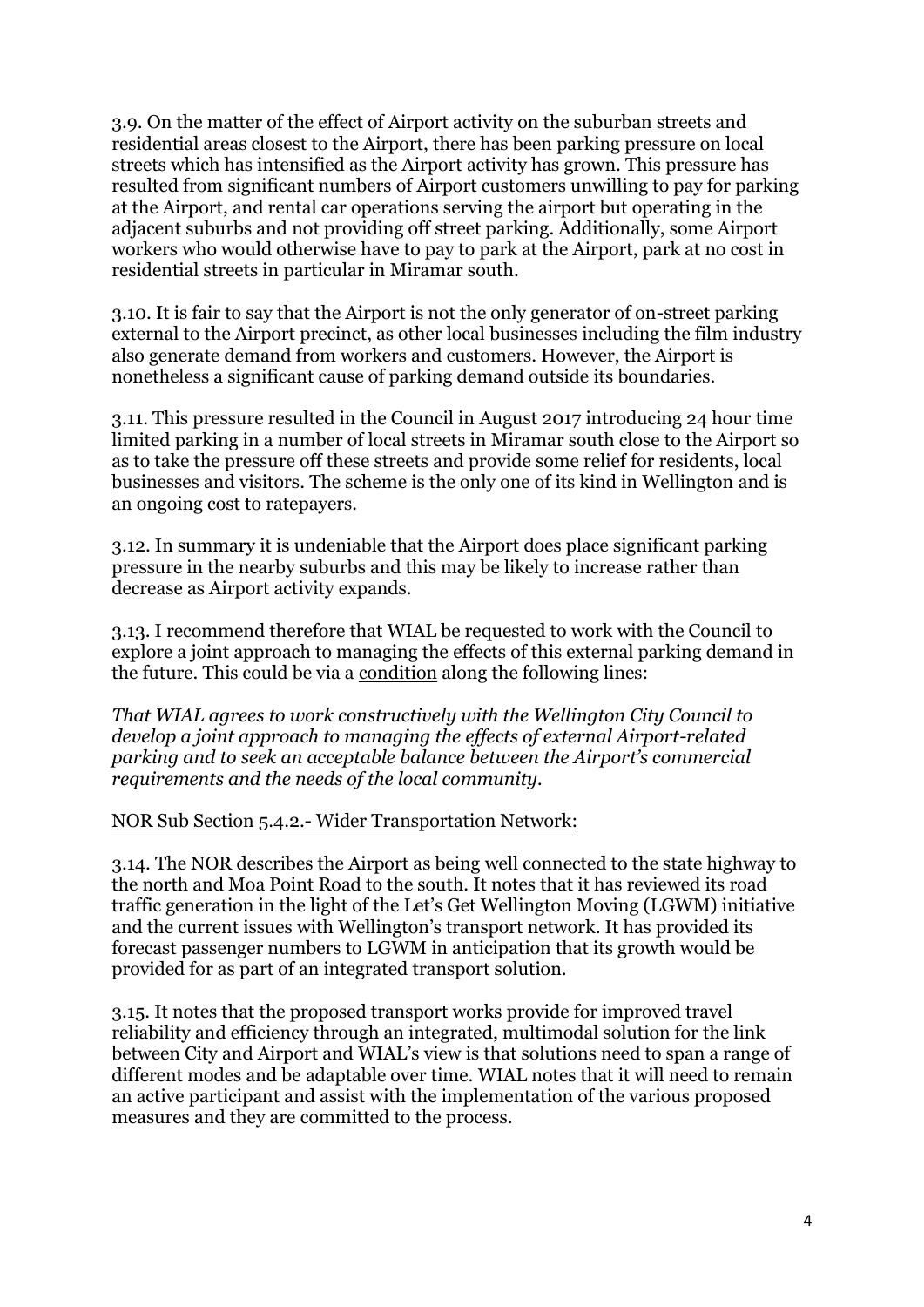3.9. On the matter of the effect of Airport activity on the suburban streets and residential areas closest to the Airport, there has been parking pressure on local streets which has intensified as the Airport activity has grown. This pressure has resulted from significant numbers of Airport customers unwilling to pay for parking at the Airport, and rental car operations serving the airport but operating in the adjacent suburbs and not providing off street parking. Additionally, some Airport workers who would otherwise have to pay to park at the Airport, park at no cost in residential streets in particular in Miramar south.

3.10. It is fair to say that the Airport is not the only generator of on-street parking external to the Airport precinct, as other local businesses including the film industry also generate demand from workers and customers. However, the Airport is nonetheless a significant cause of parking demand outside its boundaries.

3.11. This pressure resulted in the Council in August 2017 introducing 24 hour time limited parking in a number of local streets in Miramar south close to the Airport so as to take the pressure off these streets and provide some relief for residents, local businesses and visitors. The scheme is the only one of its kind in Wellington and is an ongoing cost to ratepayers.

3.12. In summary it is undeniable that the Airport does place significant parking pressure in the nearby suburbs and this may be likely to increase rather than decrease as Airport activity expands.

3.13. I recommend therefore that WIAL be requested to work with the Council to explore a joint approach to managing the effects of this external parking demand in the future. This could be via a condition along the following lines:

*That WIAL agrees to work constructively with the Wellington City Council to develop a joint approach to managing the effects of external Airport-related parking and to seek an acceptable balance between the Airport's commercial requirements and the needs of the local community.*

NOR Sub Section 5.4.2.- Wider Transportation Network:

3.14. The NOR describes the Airport as being well connected to the state highway to the north and Moa Point Road to the south. It notes that it has reviewed its road traffic generation in the light of the Let's Get Wellington Moving (LGWM) initiative and the current issues with Wellington's transport network. It has provided its forecast passenger numbers to LGWM in anticipation that its growth would be provided for as part of an integrated transport solution.

3.15. It notes that the proposed transport works provide for improved travel reliability and efficiency through an integrated, multimodal solution for the link between City and Airport and WIAL's view is that solutions need to span a range of different modes and be adaptable over time. WIAL notes that it will need to remain an active participant and assist with the implementation of the various proposed measures and they are committed to the process.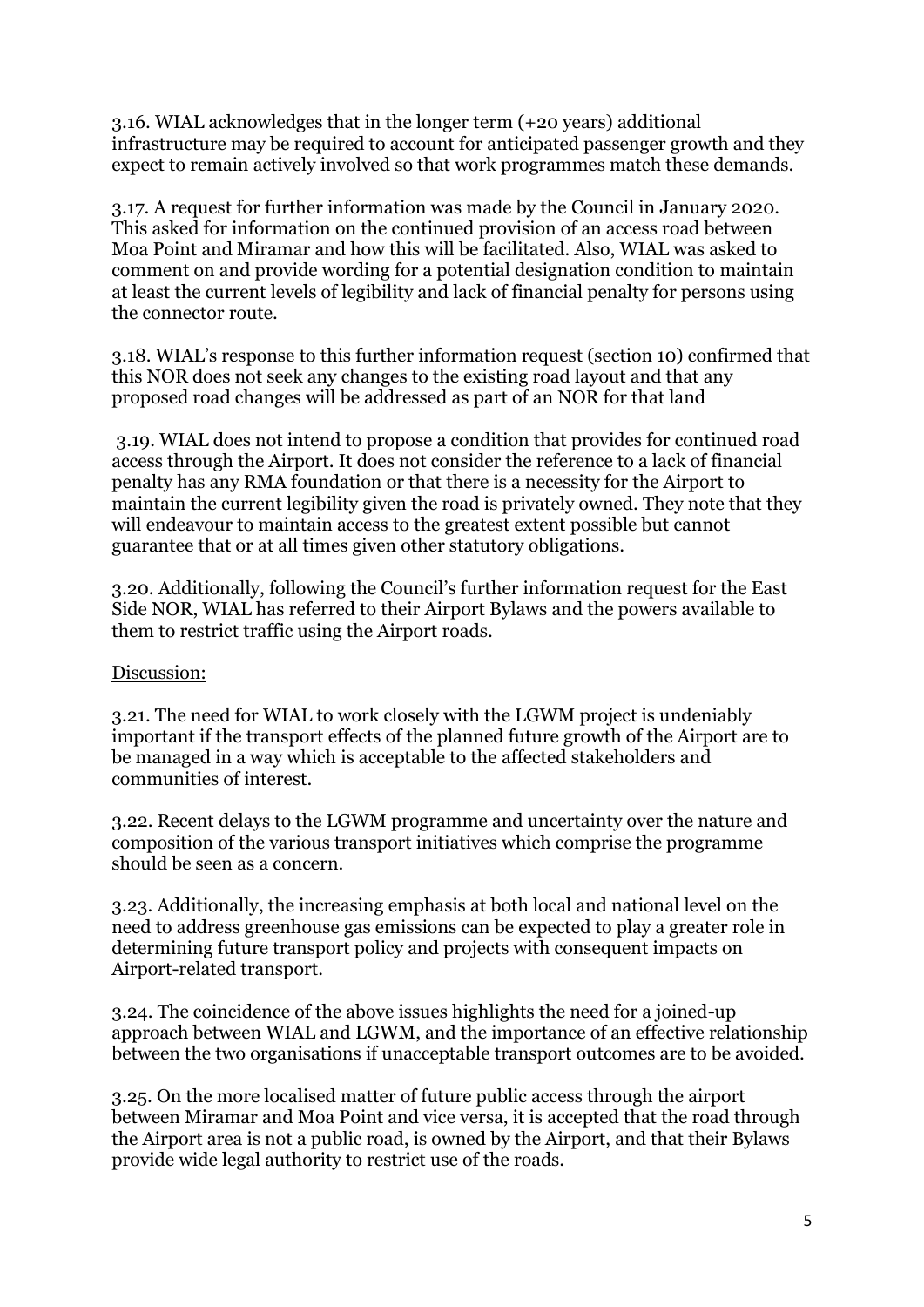3.16. WIAL acknowledges that in the longer term (+20 years) additional infrastructure may be required to account for anticipated passenger growth and they expect to remain actively involved so that work programmes match these demands.

3.17. A request for further information was made by the Council in January 2020. This asked for information on the continued provision of an access road between Moa Point and Miramar and how this will be facilitated. Also, WIAL was asked to comment on and provide wording for a potential designation condition to maintain at least the current levels of legibility and lack of financial penalty for persons using the connector route.

3.18. WIAL's response to this further information request (section 10) confirmed that this NOR does not seek any changes to the existing road layout and that any proposed road changes will be addressed as part of an NOR for that land

3.19. WIAL does not intend to propose a condition that provides for continued road access through the Airport. It does not consider the reference to a lack of financial penalty has any RMA foundation or that there is a necessity for the Airport to maintain the current legibility given the road is privately owned. They note that they will endeavour to maintain access to the greatest extent possible but cannot guarantee that or at all times given other statutory obligations.

3.20. Additionally, following the Council's further information request for the East Side NOR, WIAL has referred to their Airport Bylaws and the powers available to them to restrict traffic using the Airport roads.

#### Discussion:

3.21. The need for WIAL to work closely with the LGWM project is undeniably important if the transport effects of the planned future growth of the Airport are to be managed in a way which is acceptable to the affected stakeholders and communities of interest.

3.22. Recent delays to the LGWM programme and uncertainty over the nature and composition of the various transport initiatives which comprise the programme should be seen as a concern.

3.23. Additionally, the increasing emphasis at both local and national level on the need to address greenhouse gas emissions can be expected to play a greater role in determining future transport policy and projects with consequent impacts on Airport-related transport.

3.24. The coincidence of the above issues highlights the need for a joined-up approach between WIAL and LGWM, and the importance of an effective relationship between the two organisations if unacceptable transport outcomes are to be avoided.

3.25. On the more localised matter of future public access through the airport between Miramar and Moa Point and vice versa, it is accepted that the road through the Airport area is not a public road, is owned by the Airport, and that their Bylaws provide wide legal authority to restrict use of the roads.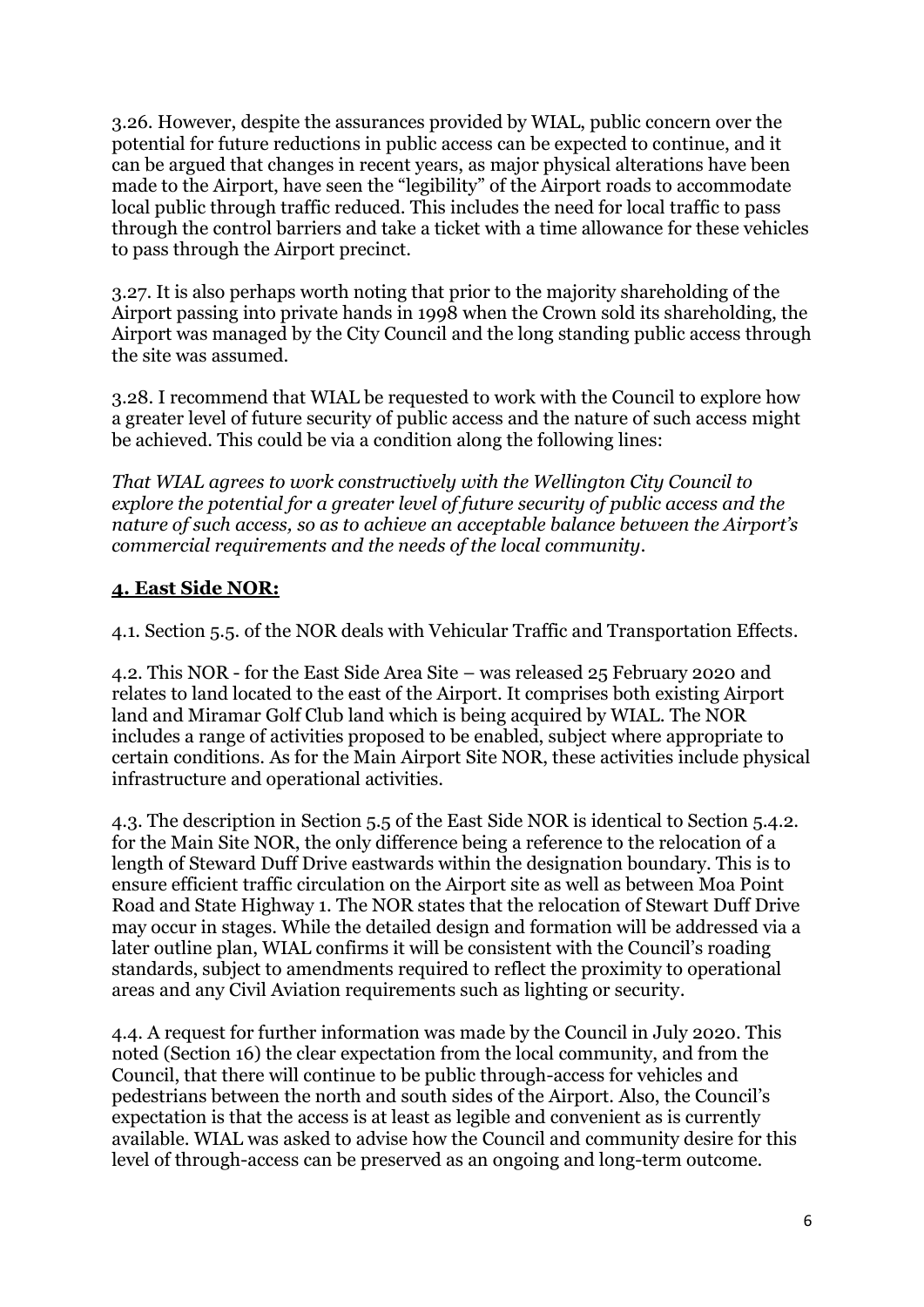3.26. However, despite the assurances provided by WIAL, public concern over the potential for future reductions in public access can be expected to continue, and it can be argued that changes in recent years, as major physical alterations have been made to the Airport, have seen the "legibility" of the Airport roads to accommodate local public through traffic reduced. This includes the need for local traffic to pass through the control barriers and take a ticket with a time allowance for these vehicles to pass through the Airport precinct.

3.27. It is also perhaps worth noting that prior to the majority shareholding of the Airport passing into private hands in 1998 when the Crown sold its shareholding, the Airport was managed by the City Council and the long standing public access through the site was assumed.

3.28. I recommend that WIAL be requested to work with the Council to explore how a greater level of future security of public access and the nature of such access might be achieved. This could be via a condition along the following lines:

*That WIAL agrees to work constructively with the Wellington City Council to explore the potential for a greater level of future security of public access and the nature of such access, so as to achieve an acceptable balance between the Airport's commercial requirements and the needs of the local community.*

## **4. East Side NOR:**

4.1. Section 5.5. of the NOR deals with Vehicular Traffic and Transportation Effects.

4.2. This NOR - for the East Side Area Site – was released 25 February 2020 and relates to land located to the east of the Airport. It comprises both existing Airport land and Miramar Golf Club land which is being acquired by WIAL. The NOR includes a range of activities proposed to be enabled, subject where appropriate to certain conditions. As for the Main Airport Site NOR, these activities include physical infrastructure and operational activities.

4.3. The description in Section 5.5 of the East Side NOR is identical to Section 5.4.2. for the Main Site NOR, the only difference being a reference to the relocation of a length of Steward Duff Drive eastwards within the designation boundary. This is to ensure efficient traffic circulation on the Airport site as well as between Moa Point Road and State Highway 1. The NOR states that the relocation of Stewart Duff Drive may occur in stages. While the detailed design and formation will be addressed via a later outline plan, WIAL confirms it will be consistent with the Council's roading standards, subject to amendments required to reflect the proximity to operational areas and any Civil Aviation requirements such as lighting or security.

4.4. A request for further information was made by the Council in July 2020. This noted (Section 16) the clear expectation from the local community, and from the Council, that there will continue to be public through-access for vehicles and pedestrians between the north and south sides of the Airport. Also, the Council's expectation is that the access is at least as legible and convenient as is currently available. WIAL was asked to advise how the Council and community desire for this level of through-access can be preserved as an ongoing and long-term outcome.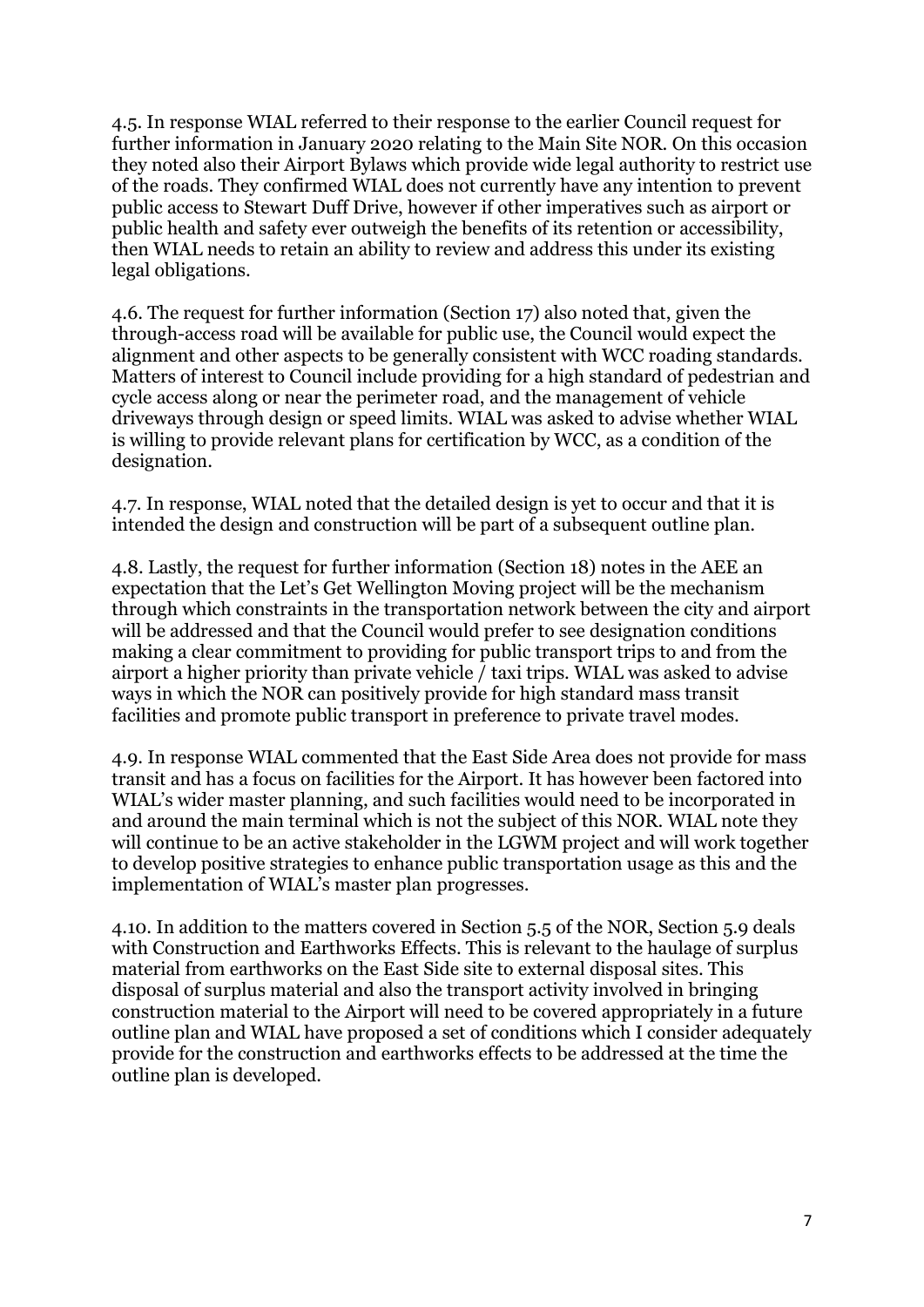4.5. In response WIAL referred to their response to the earlier Council request for further information in January 2020 relating to the Main Site NOR. On this occasion they noted also their Airport Bylaws which provide wide legal authority to restrict use of the roads. They confirmed WIAL does not currently have any intention to prevent public access to Stewart Duff Drive, however if other imperatives such as airport or public health and safety ever outweigh the benefits of its retention or accessibility, then WIAL needs to retain an ability to review and address this under its existing legal obligations.

4.6. The request for further information (Section 17) also noted that, given the through-access road will be available for public use, the Council would expect the alignment and other aspects to be generally consistent with WCC roading standards. Matters of interest to Council include providing for a high standard of pedestrian and cycle access along or near the perimeter road, and the management of vehicle driveways through design or speed limits. WIAL was asked to advise whether WIAL is willing to provide relevant plans for certification by WCC, as a condition of the designation.

4.7. In response, WIAL noted that the detailed design is yet to occur and that it is intended the design and construction will be part of a subsequent outline plan.

4.8. Lastly, the request for further information (Section 18) notes in the AEE an expectation that the Let's Get Wellington Moving project will be the mechanism through which constraints in the transportation network between the city and airport will be addressed and that the Council would prefer to see designation conditions making a clear commitment to providing for public transport trips to and from the airport a higher priority than private vehicle  $\overline{\ell}$  taxi trips. WIAL was asked to advise ways in which the NOR can positively provide for high standard mass transit facilities and promote public transport in preference to private travel modes.

4.9. In response WIAL commented that the East Side Area does not provide for mass transit and has a focus on facilities for the Airport. It has however been factored into WIAL's wider master planning, and such facilities would need to be incorporated in and around the main terminal which is not the subject of this NOR. WIAL note they will continue to be an active stakeholder in the LGWM project and will work together to develop positive strategies to enhance public transportation usage as this and the implementation of WIAL's master plan progresses.

4.10. In addition to the matters covered in Section 5.5 of the NOR, Section 5.9 deals with Construction and Earthworks Effects. This is relevant to the haulage of surplus material from earthworks on the East Side site to external disposal sites. This disposal of surplus material and also the transport activity involved in bringing construction material to the Airport will need to be covered appropriately in a future outline plan and WIAL have proposed a set of conditions which I consider adequately provide for the construction and earthworks effects to be addressed at the time the outline plan is developed.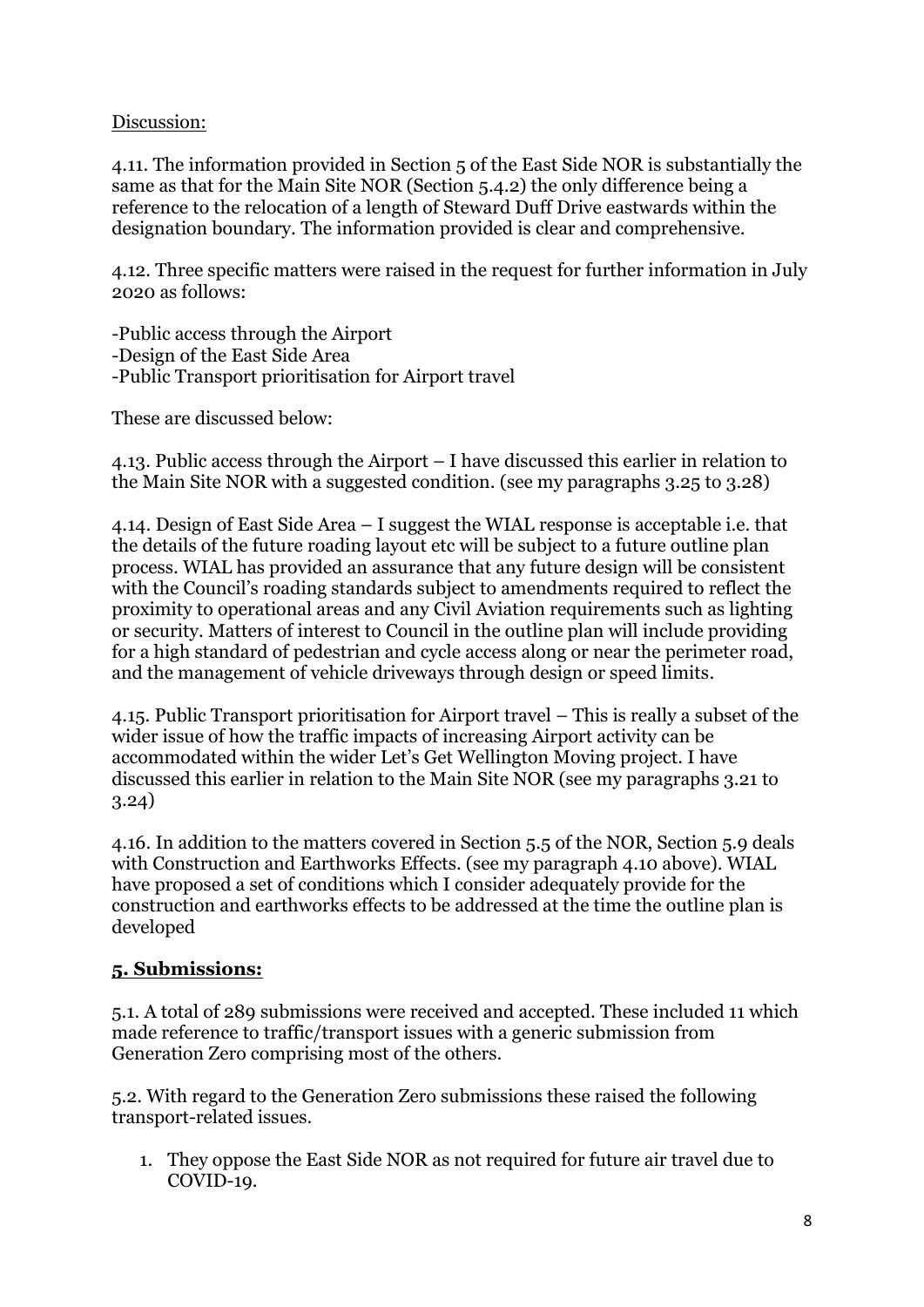### Discussion:

4.11. The information provided in Section 5 of the East Side NOR is substantially the same as that for the Main Site NOR (Section 5.4.2) the only difference being a reference to the relocation of a length of Steward Duff Drive eastwards within the designation boundary. The information provided is clear and comprehensive.

4.12. Three specific matters were raised in the request for further information in July 2020 as follows:

-Public access through the Airport -Design of the East Side Area -Public Transport prioritisation for Airport travel

These are discussed below:

4.13. Public access through the Airport – I have discussed this earlier in relation to the Main Site NOR with a suggested condition. (see my paragraphs 3.25 to 3.28)

4.14. Design of East Side Area – I suggest the WIAL response is acceptable i.e. that the details of the future roading layout etc will be subject to a future outline plan process. WIAL has provided an assurance that any future design will be consistent with the Council's roading standards subject to amendments required to reflect the proximity to operational areas and any Civil Aviation requirements such as lighting or security. Matters of interest to Council in the outline plan will include providing for a high standard of pedestrian and cycle access along or near the perimeter road, and the management of vehicle driveways through design or speed limits.

4.15. Public Transport prioritisation for Airport travel – This is really a subset of the wider issue of how the traffic impacts of increasing Airport activity can be accommodated within the wider Let's Get Wellington Moving project. I have discussed this earlier in relation to the Main Site NOR (see my paragraphs 3.21 to 3.24)

4.16. In addition to the matters covered in Section 5.5 of the NOR, Section 5.9 deals with Construction and Earthworks Effects. (see my paragraph 4.10 above). WIAL have proposed a set of conditions which I consider adequately provide for the construction and earthworks effects to be addressed at the time the outline plan is developed

### **5. Submissions:**

5.1. A total of 289 submissions were received and accepted. These included 11 which made reference to traffic/transport issues with a generic submission from Generation Zero comprising most of the others.

5.2. With regard to the Generation Zero submissions these raised the following transport-related issues.

1. They oppose the East Side NOR as not required for future air travel due to COVID-19.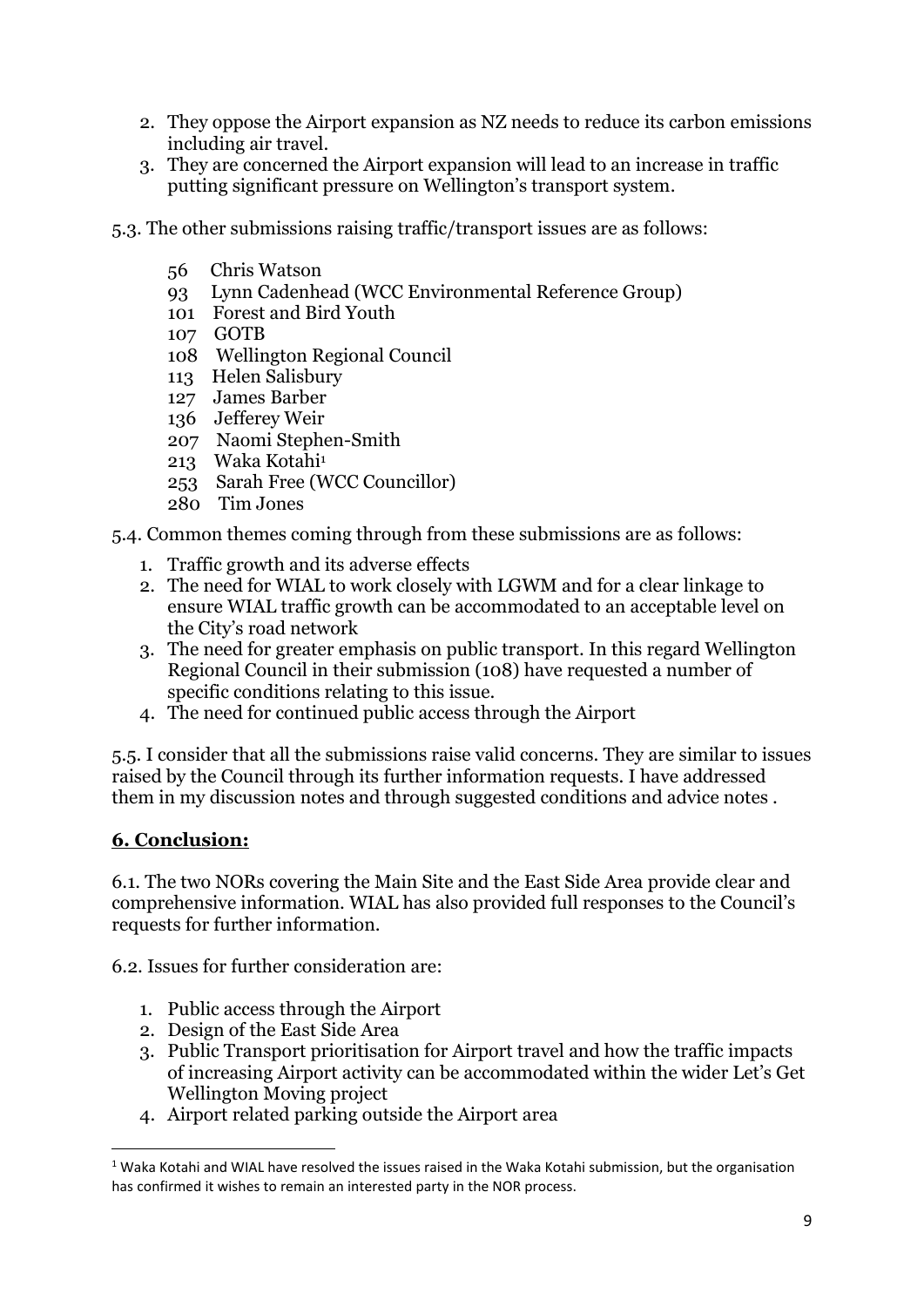- 2. They oppose the Airport expansion as NZ needs to reduce its carbon emissions including air travel.
- 3. They are concerned the Airport expansion will lead to an increase in traffic putting significant pressure on Wellington's transport system.
- 5.3. The other submissions raising traffic/transport issues are as follows:
	- 56 Chris Watson
	- 93 Lynn Cadenhead (WCC Environmental Reference Group)
	- 101 Forest and Bird Youth
	- 107 GOTB
	- 108 Wellington Regional Council
	- 113 Helen Salisbury
	- 127 James Barber
	- 136 Jefferey Weir
	- 207 Naomi Stephen-Smith
	- 213 Waka Kotahi<sup>1</sup>
	- 253 Sarah Free (WCC Councillor)
	- 280 Tim Jones
- 5.4. Common themes coming through from these submissions are as follows:
	- 1. Traffic growth and its adverse effects
	- 2. The need for WIAL to work closely with LGWM and for a clear linkage to ensure WIAL traffic growth can be accommodated to an acceptable level on the City's road network
	- 3. The need for greater emphasis on public transport. In this regard Wellington Regional Council in their submission (108) have requested a number of specific conditions relating to this issue.
	- 4. The need for continued public access through the Airport

5.5. I consider that all the submissions raise valid concerns. They are similar to issues raised by the Council through its further information requests. I have addressed them in my discussion notes and through suggested conditions and advice notes .

### **6. Conclusion:**

6.1. The two NORs covering the Main Site and the East Side Area provide clear and comprehensive information. WIAL has also provided full responses to the Council's requests for further information.

6.2. Issues for further consideration are:

- 1. Public access through the Airport
- 2. Design of the East Side Area
- 3. Public Transport prioritisation for Airport travel and how the traffic impacts of increasing Airport activity can be accommodated within the wider Let's Get Wellington Moving project
- 4. Airport related parking outside the Airport area

 $1$  Waka Kotahi and WIAL have resolved the issues raised in the Waka Kotahi submission, but the organisation has confirmed it wishes to remain an interested party in the NOR process.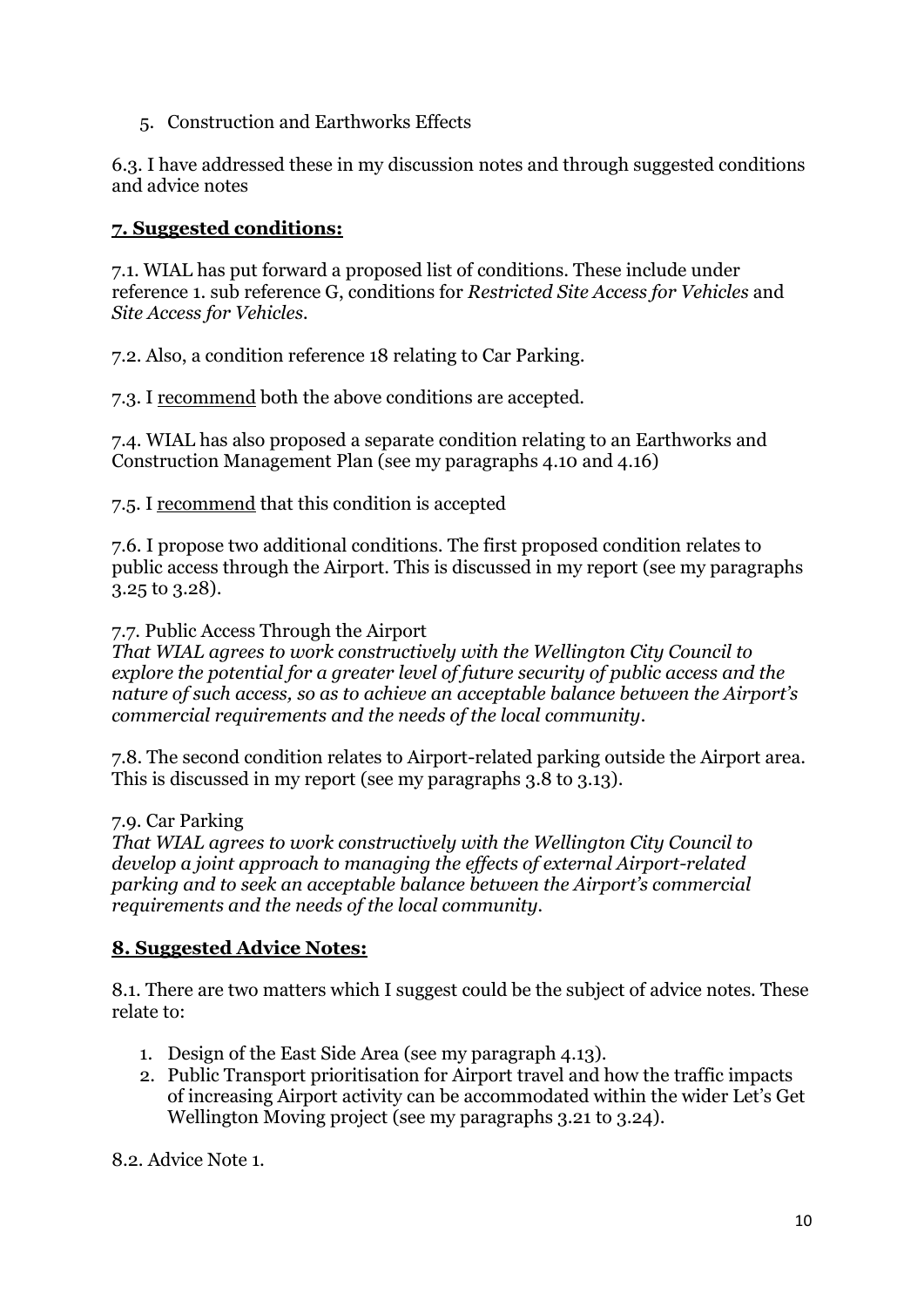5. Construction and Earthworks Effects

6.3. I have addressed these in my discussion notes and through suggested conditions and advice notes

# **7. Suggested conditions:**

7.1. WIAL has put forward a proposed list of conditions. These include under reference 1. sub reference G, conditions for *Restricted Site Access for Vehicles* and *Site Access for Vehicles.*

7.2. Also, a condition reference 18 relating to Car Parking.

7.3. I recommend both the above conditions are accepted.

7.4. WIAL has also proposed a separate condition relating to an Earthworks and Construction Management Plan (see my paragraphs 4.10 and 4.16)

7.5. I recommend that this condition is accepted

7.6. I propose two additional conditions. The first proposed condition relates to public access through the Airport. This is discussed in my report (see my paragraphs 3.25 to 3.28).

7.7. Public Access Through the Airport

*That WIAL agrees to work constructively with the Wellington City Council to explore the potential for a greater level of future security of public access and the nature of such access, so as to achieve an acceptable balance between the Airport's commercial requirements and the needs of the local community.*

7.8. The second condition relates to Airport-related parking outside the Airport area. This is discussed in my report (see my paragraphs 3.8 to 3.13).

7.9. Car Parking

*That WIAL agrees to work constructively with the Wellington City Council to develop a joint approach to managing the effects of external Airport-related parking and to seek an acceptable balance between the Airport's commercial requirements and the needs of the local community.*

# **8. Suggested Advice Notes:**

8.1. There are two matters which I suggest could be the subject of advice notes. These relate to:

- 1. Design of the East Side Area (see my paragraph 4.13).
- 2. Public Transport prioritisation for Airport travel and how the traffic impacts of increasing Airport activity can be accommodated within the wider Let's Get Wellington Moving project (see my paragraphs 3.21 to 3.24).

8.2. Advice Note 1.